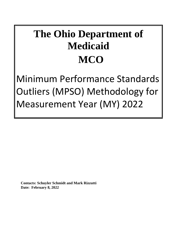# **The Ohio Department of Medicaid MCO**

Minimum Performance Standards Outliers (MPSO) Methodology for Measurement Year (MY) 2022

**Contacts: Schuyler Schmidt and Mark Rizzutti Date: February 8, 2022**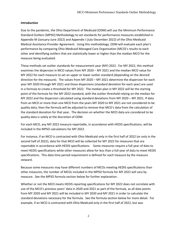#### **Introduction**

Due to the pandemic, the Ohio Department of Medicaid (ODM) will use the Minimum Performance Standard Outliers (MPSO) Methodology to set standards for performance measures established in Appendix M (January-June 2022) and Appendix I (July-December 2022) of the Ohio Medicaid Medical Assistance Provider Agreement. Using this methodology, ODM will evaluate each plan's performance by comparing Ohio Medicaid Managed Care Organization (MCO)'s results to each other and identifying outliers that are statistically lower or higher than the median MCO for the measure being evaluated.

These methods set outlier standards for measurement year (MY) 2022. For MY 2022, this method examines the dispersion in MCO values from MY 2020 – MY 2021 and the median MCO value for MY 2022 for each measure to set an upper or lower outlier standard (depending on the desired direction for the measure). The values from MY 2020 – MY 2021 determine the dispersion for each year MY 2020 through MY 2021 and those dispersions (standard deviation for each year) are used in a formula to create a threshold for MY 2022. The median plan in MY 2022 will be the starting point of the formula for the MY 2022 standard, with the outlier threshold relying on the median for MY 2022 and the dispersion calculated using standard deviations from MY 2020 – MY 2021. If data from an MCO or more than one MCO from the years MY 2020 to MY 2021 are not considered to be quality data, then the formula will be adjusted to remove that MCO's data from the calculation of the standard deviation for that year. The decision on whether the MCO data are considered to be quality data is solely at the discretion of ODM.

For each MCO, any MY 2022 measure reportable, in accordance with HEDIS specifications, will be included in the MPSO calculations for MY 2022.

For instance, if an MCO is contracted with Ohio Medicaid only in the first half of 2022 (or only in the second half of 2022), data for that MCO will be collected for MY 2022 for measures that are reportable in accordance with HEDIS specifications. Some measures require a full year of data to meet HEDIS specifications while other measures allow for less than a full year of data to meet HEDIS specifications. This data time period requirement is defined for each measure by the measure steward.

Because some measures may have different numbers of MCOs meeting HEDIS specifications than other measures, the number of MCOs included in the MPSO formula for MY 2022 will vary by measure. See the MPSO formula section below for further explanation.

Whether or not the MCO meets HEDIS reporting specifications for MY 2022 does not correlate with use of the MCO's previous years' data in 2020 and 2021 as part of the formula, as all data points from MY 2020 and MY 2021 will be included in MY 2020 and MY 2021 in order to calculate the standard deviations necessary for the formula. See the formula section below for more detail. For example, if an MCO is contracted with Ohio Medicaid only in the first half of 2022, but was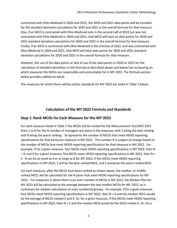contracted with Ohio Medicaid in 2020 and 2021, the 2020 and 2021 data points will be included for the standard deviation calculations for 2020 and 2021 in the overall formula for that measure. Also, if an MCO is contracted with Ohio Medicaid only in the second half of 2022 but was not contracted with Ohio Medicaid in 2020 and 2021, that MCO will have no data points for 2020 and 2021 standard deviation calculations for 2020 and 2021 in the overall formula for that measure. Finally, if an MCO is contracted with Ohio Medicaid in the entirety of 2022, and was contracted with Ohio Medicaid in 2020 and 2021, that MCO will have data points for 2020 and 2021 standard deviation calculations for 2020 and 2021 in the overall formula for that measure.

However, the use of the data points or lack of use of the data points in 2020 or 2021 for the calculation of standard deviations in the formula as described above and below has no bearing on which measures the MCOs are responsible and accountable for in MY 2022. The formula section below provides additional detail.

The measures for which there will be outlier standards for MY 2022 are listed in Table 1 below.

## **Calculation of the MY 2022 Formula and Standards**

### **Step 1: Rank MCOs for Each Measure for the MY 2022**

For each measure listed in Table 1 the MCOs will be ranked for the Measurement Year(MY) 2022 from 1 to N for the N number of managed care plans in the measure, with 1 being the best ranking and N being the worst ranking. N represents the number of MCOs that meet HEDIS reporting specifications for that particular measure in MY 2022. This number N is subject to change based on the number of MCOs that meet HEDIS reporting specifications for that measure in MY 2022. For example, if for a given measure, four MCOs meet HEDIS reporting specifications in MY 2022, then N  $=$  4, and if for a given measure, five MCOs meet HEDIS reporting specifications in MY 2022, then N  $=$ 5. N can be as small as 4 or as large as 8 for MY 2022. If five MCOs meet HEDIS reporting specifications in MY 2022, 1 will be the best ranked MCO, and 5 would be the worst ranked MCO.

For each measure, after the MCOs have been ranked as shown above, the median, or middle ranked MCO, will be calculated for the N plans that meet HEDIS reporting specifications for MY 2022. For measures in which there is an even number of MCOs in MY 2022, the Median Plan for MY 2022 will be calculated as the average between the two median MCOs for MY 2022, as is customary for median calculations of even numbered groups. For example, if for a given measure, four MCOs meet HEDIS reporting specifications in MY 2022, then N = 4 and the median MCO would be the average of MCOs ranked 2 and 3. Or, for a given measure, if five MCOs meet HEDIS reporting specifications in MY 2022, then  $N = 5$  and the median MCO would be the MCO ranked 3. Or, for a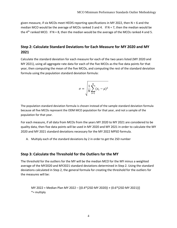given measure, if six MCOs meet HEDIS reporting specifications in MY 2022, then N = 6 and the median MCO would be the average of MCOs ranked 3 and 4. If  $N = 7$ , then the median would be the  $4<sup>th</sup>$  ranked MCO. If N = 8, then the median would be the average of the MCOs ranked 4 and 5.

## **Step 2: Calculate Standard Deviations for Each Measure for MY 2020 and MY 2021**

Calculate the standard deviation for each measure for each of the two years listed (MY 2020 and MY 2021), using all aggregate rate data for each of the five MCOs as the five data points for that year, then computing the mean of the five MCOs, and computing the rest of the standard deviation formula using the population standard deviation formula:

$$
\sigma = \sqrt{\frac{1}{N} \sum_{i=1}^{N} (x_i - \mu)^2}
$$

The population standard deviation formula is chosen instead of the sample standard deviation formula because all five MCOs represent the ODM MCO population for that year, and not a sample of the population for that year.

For each measure, if all data from MCOs from the years MY 2020 to MY 2021 are considered to be quality data, then five data points will be used in MY 2020 and MY 2021 in order to calculate the MY 2020 and MY 2021 standard deviations necessary for the MY 2022 MPSO formula.

A. Multiply each of the standard deviations by 2 in order to get the 2SD number

### **Step 3: Calculate the Threshold for the Outliers for the MY**

The threshold for the outliers for the MY will be the median MCO for the MY minus a weighted average of the MY2020 and MY2021 standard deviations determined in Step 2. Using the standard deviations calculated in Step 2, the general formula for creating the threshold for the outliers for the measures will be:

MY 2022 = Median Plan MY 2022 – [(0.4\*(2SD MY 2020)) + (0.6\*(2SD MY 2021))] \*= multiply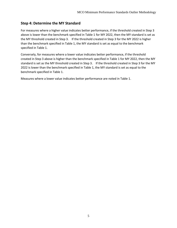## **Step 4: Determine the MY Standard**

For measures where a higher value indicates better performance, if the threshold created in Step 3 above is lower than the benchmark specified in Table 1 for MY 2022, then the MY standard is set as the MY threshold created in Step 3. If the threshold created in Step 3 for the MY 2022 is higher than the benchmark specified in Table 1, the MY standard is set as equal to the benchmark specified in Table 1.

Conversely, for measures where a lower value indicates better performance, if the threshold created in Step 3 above is higher than the benchmark specified in Table 1 for MY 2022, then the MY standard is set as the MY threshold created in Step 3. If the threshold created in Step 3 for the MY 2022 is lower than the benchmark specified in Table 1, the MY standard is set as equal to the benchmark specified in Table 1.

Measures where a lower value indicates better performance are noted in Table 1.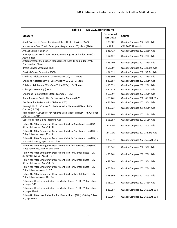| Table 1 - MY 2022 Benchmarks                                                                                |                             |                                   |  |
|-------------------------------------------------------------------------------------------------------------|-----------------------------|-----------------------------------|--|
| <b>Measure</b>                                                                                              | <b>Benchmark</b><br>MY 2022 | <b>Source</b>                     |  |
| Adults' Access to Preventive/Ambulatory Health Services (AAP)                                               | $\geq 78.30\%$              | Quality Compass 2021 50th %ile    |  |
| Ambulatory Care: Total - Emergency Department (ED) Visits (AMB) <sup>1</sup>                                | $\leq 81.71$                | CPC 2020 Threshold                |  |
| Annual Dental Visit (ADV)                                                                                   | $\geq 35.42\%$              | Quality Compass 2021 25th %ile    |  |
| Antidepressant Medication Management, Age 18 and older (AMM) -<br><b>Acute Phase</b>                        | $\geq 52.12\%$              | Quality Compass 2021 25th %ile    |  |
| Antidepressant Medication Management, Ages 18 and older (AMM) -<br><b>Continuation Phase</b>                | $\geq 36.70\%$              | Quality Compass 2021 25th %ile    |  |
| <b>Breast Cancer Screening (BCS)</b>                                                                        | $\geq 51.20\%$              | Quality Compass 2021 33.3rd %ile  |  |
| Cervical Cancer Screening (CCS)                                                                             | $\geq 54.01\%$              | Quality Compass 2021 33.3rd %ile  |  |
| Child and Adolescent Well-Care Visits (WCV), 3- 11 years                                                    | $\geq 45.60\%$              | Quality Compass 2021 25th %ile    |  |
| Child and Adolescent Well-Care Visits (WCV), 12-17 years                                                    | $\geq 39.15\%$              | Quality Compass 2021 25th %ile    |  |
| Child and Adolescent Well-Care Visits (WCV), 18-21 years                                                    | $\geq 19.02\%$              | Quality Compass 2021 25th %ile    |  |
| Chlamydia Screening (CHL)                                                                                   | $\geq 54.91\%$              | Quality Compass 2021 50th %ile    |  |
| Childhood Immunization Status (Combo 3) (CIS)                                                               | $\geq 62.89\%$              | Quality Compass 2021 25th %ile    |  |
| Blood Pressure Control for Patients with Diabetes (BPD)                                                     | $\geq 63.26\%$              | Quality Compass 2021 66.67th %ile |  |
| Eye Exam for Patients With Diabetes (EED)                                                                   | $\geq 51.36\%$              | Quality Compass 2021 50th %ile    |  |
| Hemoglobin A1c Control for Patients With Diabetes (HBD) - HbA1c<br>Control (<8.0%)                          | $\geq 43.92\%$              | Quality Compass 2019 25th %ile    |  |
| Hemoglobin A1c Control for Patients With Diabetes (HBD) - HbA1c Poor<br>Control (>9.0%) <sup>1</sup>        | $\leq 51.90\%$              | Quality Compass 2021 25th %ile    |  |
| Controlling High Blood Pressure (CBP)                                                                       | $\geq 55.35\%$              | Quality Compass 2021 50th %ile    |  |
| Follow-Up After Emergency Department Visit for Substance Use (FUA) -<br>30-day follow-up, Ages 13 - 17      | $\geq 8.43\%$               | Quality Compass 2021 50th %ile    |  |
| Follow-Up After Emergency Department Visit for Substance Use (FUA) -<br>7-day follow-up, Ages 13 - 17       | $\geq 4.11\%$               | Quality Compass 2021 33.3rd %ile  |  |
| Follow-Up After Emergency Department Visit for Substance Use (FUA) -<br>30-day follow-up, Ages 18 and older | $\geq 25.07\%$              | Quality Compass 2021 66.67th %ile |  |
| Follow-Up After Emergency Department Visit for Substance Use (FUA) -<br>7-day follow-up, Ages 18 and older  | $\geq 13.64\%$              | Quality Compass 2021 50th %ile    |  |
| Follow-Up After Emergency Department Visit for Mental Illness (FUM) -<br>30-day follow-up, Ages $6 - 17$    | $\geq 78.16\%$              | Quality Compass 2021 75th %ile    |  |
| Follow-Up After Emergency Department Visit for Mental Illness (FUM) -<br>30-day follow-up, Ages 18 - 64     | $\geq 48.50\%$              | Quality Compass 2021 50th %ile    |  |
| Follow-Up After Emergency Department Visit for Mental Illness (FUM) -<br>7-day follow-up, Ages 6 - 17       | $\geq 65.78\%$              | Quality Compass 2021 75th %ile    |  |
| Follow-Up After Emergency Department Visit for Mental Illness (FUM) -<br>7-day follow-up, Ages 18 - 64      | $\geq 33.56\%$              | Quality Compass 2021 50th %ile    |  |
| Follow-up After Hospitalization for Mental Illness (FUH) - 7-day follow-<br>up, ages 6-17                   | $\geq 58.21\%$              | Quality Compass 2021 75th %ile    |  |
| Follow-up After Hospitalization for Mental Illness (FUH) - 7-day follow-<br>up, ages 18-64                  | $\geq 38.95\%$              | Quality Compass 2021 66.67th %ile |  |
| Follow-Up After Hospitalization for Mental Illness (FUH) - 30-day follow-<br>up, age 18-64                  | $\geq 59.26\%$              | Quality Compass 2021 66.67th %ile |  |